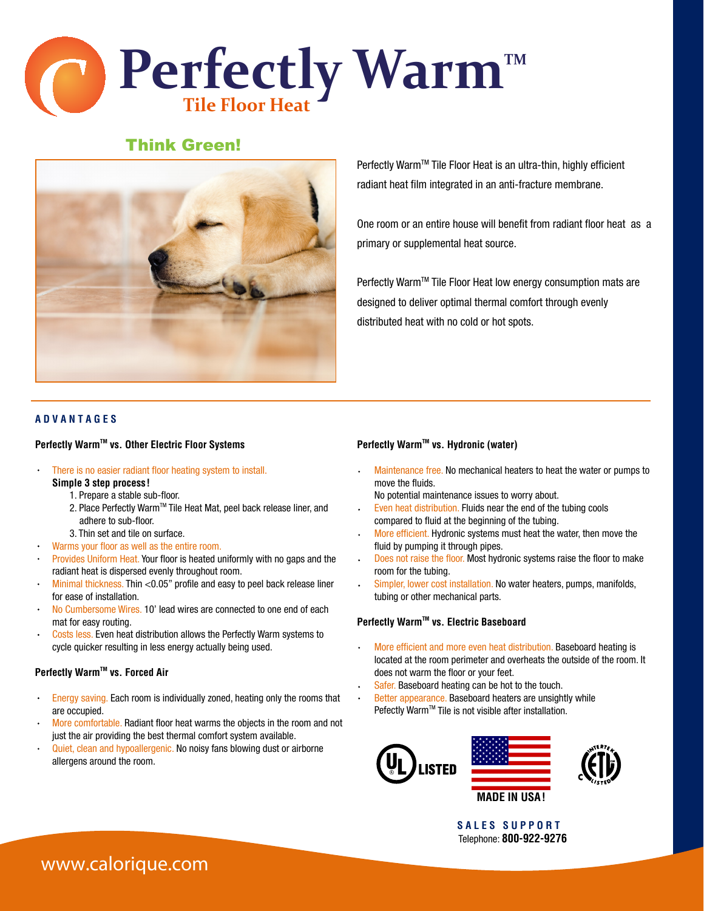

# Think Green!



Perfectly Warm™ Tile Floor Heat is an ultra-thin, highly efficient radiant heat film integrated in an anti-fracture membrane.

One room or an entire house will benefit from radiant floor heat as a primary or supplemental heat source.

Perfectly Warm™ Tile Floor Heat low energy consumption mats are designed to deliver optimal thermal comfort through evenly distributed heat with no cold or hot spots.

#### **A D V A N T A G E S**

#### **Perfectly Warm™ vs. Other Electric Floor Systems**

- There is no easier radiant floor heating system to install. **Simple 3 step process!**
	- 1. Prepare a stable sub-floor.
	- 2. Place Perfectly Warm™ Tile Heat Mat, peel back release liner, and adhere to sub-floor.
	- 3. Thin set and tile on surface.
- Warms your floor as well as the entire room.
- Provides Uniform Heat. Your floor is heated uniformly with no gaps and the radiant heat is dispersed evenly throughout room.
- Minimal thickness. Thin <0.05" profile and easy to peel back release liner for ease of installation.
- No Cumbersome Wires. 10' lead wires are connected to one end of each mat for easy routing.
- Costs less. Even heat distribution allows the Perfectly Warm systems to  $\ddot{\phantom{0}}$ cycle quicker resulting in less energy actually being used.

#### **Perfectly Warm™ vs. Forced Air**

- Energy saving. Each room is individually zoned, heating only the rooms that are occupied.
- More comfortable. Radiant floor heat warms the objects in the room and not just the air providing the best thermal comfort system available.
- Quiet, clean and hypoallergenic. No noisy fans blowing dust or airborne allergens around the room.

#### **Perfectly Warm™ vs. Hydronic (water)**

Maintenance free. No mechanical heaters to heat the water or pumps to move the fluids.

No potential maintenance issues to worry about.

- Even heat distribution. Fluids near the end of the tubing cools compared to fluid at the beginning of the tubing.
- More efficient. Hydronic systems must heat the water, then move the fluid by pumping it through pipes.
- Does not raise the floor. Most hydronic systems raise the floor to make room for the tubing.
- Simpler, lower cost installation. No water heaters, pumps, manifolds,  $\bullet$ tubing or other mechanical parts.

#### **Perfectly Warm™ vs. Electric Baseboard**

- More efficient and more even heat distribution. Baseboard heating is located at the room perimeter and overheats the outside of the room. It does not warm the floor or your feet.
- Safer. Baseboard heating can be hot to the touch.
- Better appearance. Baseboard heaters are unsightly while Pefectly Warm™ Tile is not visible after installation.



**S A L E S S U P P O R T** Telephone: **800-922-9276**

# **www.calorique.com**